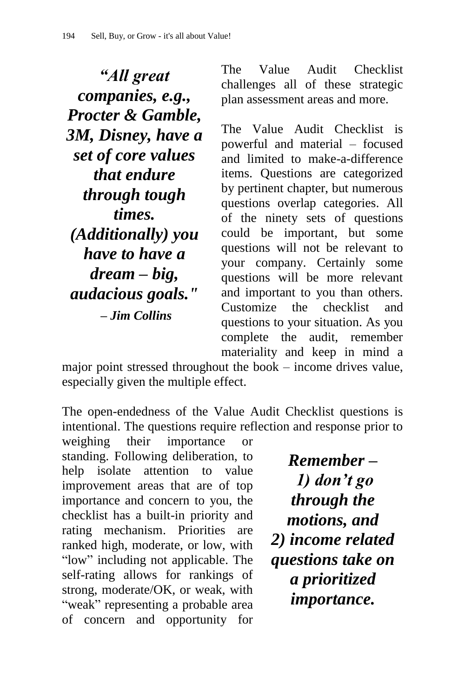*"All great companies, e.g., Procter & Gamble, 3M, Disney, have a set of core values that endure through tough times. (Additionally) you have to have a dream – big, audacious goals." – Jim Collins*

The Value Audit Checklist challenges all of these strategic plan assessment areas and more.

The Value Audit Checklist is powerful and material – focused and limited to make-a-difference items. Questions are categorized by pertinent chapter, but numerous questions overlap categories. All of the ninety sets of questions could be important, but some questions will not be relevant to your company. Certainly some questions will be more relevant and important to you than others. Customize the checklist and questions to your situation. As you complete the audit, remember materiality and keep in mind a

major point stressed throughout the book – income drives value, especially given the multiple effect.

The open-endedness of the Value Audit Checklist questions is intentional. The questions require reflection and response prior to

weighing their importance or standing. Following deliberation, to help isolate attention to value improvement areas that are of top importance and concern to you, the checklist has a built-in priority and rating mechanism. Priorities are ranked high, moderate, or low, with "low" including not applicable. The self-rating allows for rankings of strong, moderate/OK, or weak, with "weak" representing a probable area of concern and opportunity for

*Remember – 1) don"t go through the motions, and 2) income related questions take on a prioritized importance.*